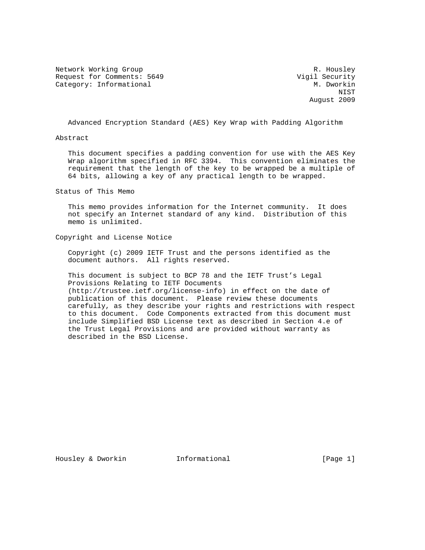Network Working Group and Months and Months and Months R. Housley Request for Comments: 5649 Vigil Security Category: Informational M. Dworkin

 NIST August 2009

Advanced Encryption Standard (AES) Key Wrap with Padding Algorithm

Abstract

 This document specifies a padding convention for use with the AES Key Wrap algorithm specified in RFC 3394. This convention eliminates the requirement that the length of the key to be wrapped be a multiple of 64 bits, allowing a key of any practical length to be wrapped.

Status of This Memo

 This memo provides information for the Internet community. It does not specify an Internet standard of any kind. Distribution of this memo is unlimited.

Copyright and License Notice

 Copyright (c) 2009 IETF Trust and the persons identified as the document authors. All rights reserved.

 This document is subject to BCP 78 and the IETF Trust's Legal Provisions Relating to IETF Documents (http://trustee.ietf.org/license-info) in effect on the date of publication of this document. Please review these documents carefully, as they describe your rights and restrictions with respect to this document. Code Components extracted from this document must include Simplified BSD License text as described in Section 4.e of the Trust Legal Provisions and are provided without warranty as described in the BSD License.

Housley & Dworkin **Informational** [Page 1]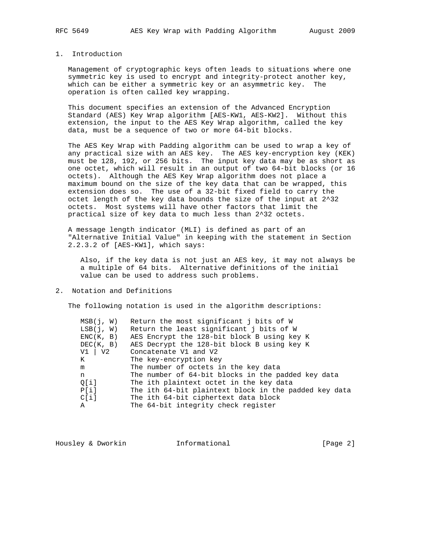## 1. Introduction

 Management of cryptographic keys often leads to situations where one symmetric key is used to encrypt and integrity-protect another key, which can be either a symmetric key or an asymmetric key. The operation is often called key wrapping.

 This document specifies an extension of the Advanced Encryption Standard (AES) Key Wrap algorithm [AES-KW1, AES-KW2]. Without this extension, the input to the AES Key Wrap algorithm, called the key data, must be a sequence of two or more 64-bit blocks.

 The AES Key Wrap with Padding algorithm can be used to wrap a key of any practical size with an AES key. The AES key-encryption key (KEK) must be 128, 192, or 256 bits. The input key data may be as short as one octet, which will result in an output of two 64-bit blocks (or 16 octets). Although the AES Key Wrap algorithm does not place a maximum bound on the size of the key data that can be wrapped, this extension does so. The use of a 32-bit fixed field to carry the octet length of the key data bounds the size of the input at 2^32 octets. Most systems will have other factors that limit the practical size of key data to much less than 2^32 octets.

 A message length indicator (MLI) is defined as part of an "Alternative Initial Value" in keeping with the statement in Section 2.2.3.2 of [AES-KW1], which says:

 Also, if the key data is not just an AES key, it may not always be a multiple of 64 bits. Alternative definitions of the initial value can be used to address such problems.

## 2. Notation and Definitions

The following notation is used in the algorithm descriptions:

| MSB(i, W)   | Return the most significant j bits of W               |
|-------------|-------------------------------------------------------|
| LSB(j, W)   | Return the least significant j bits of W              |
| ENC(K, B)   | AES Encrypt the 128-bit block B using key K           |
| DEC(K, B)   | AES Decrypt the 128-bit block B using key K           |
| $V1$   $V2$ | Concatenate V1 and V2                                 |
| K           | The key-encryption key                                |
| m           | The number of octets in the key data                  |
| n.          | The number of 64-bit blocks in the padded key data    |
| O[i]        | The ith plaintext octet in the key data               |
| P[i]        | The ith 64-bit plaintext block in the padded key data |
| $Cli$ ]     | The ith 64-bit ciphertext data block                  |
| Α           | The 64-bit integrity check register                   |

| Housley & Dworkin<br>Informational | [Page 2] |
|------------------------------------|----------|
|------------------------------------|----------|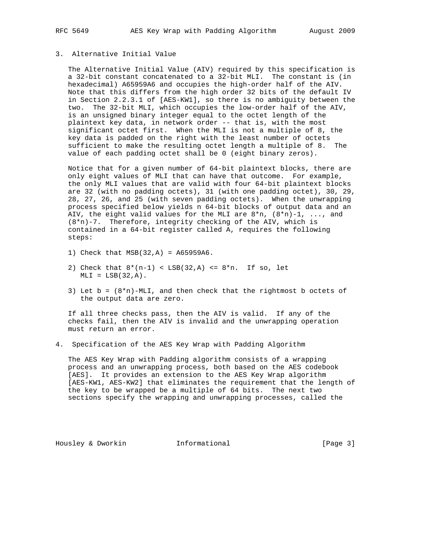# 3. Alternative Initial Value

 The Alternative Initial Value (AIV) required by this specification is a 32-bit constant concatenated to a 32-bit MLI. The constant is (in hexadecimal) A65959A6 and occupies the high-order half of the AIV. Note that this differs from the high order 32 bits of the default IV in Section 2.2.3.1 of [AES-KW1], so there is no ambiguity between the two. The 32-bit MLI, which occupies the low-order half of the AIV, is an unsigned binary integer equal to the octet length of the plaintext key data, in network order -- that is, with the most significant octet first. When the MLI is not a multiple of 8, the key data is padded on the right with the least number of octets sufficient to make the resulting octet length a multiple of 8. The value of each padding octet shall be 0 (eight binary zeros).

 Notice that for a given number of 64-bit plaintext blocks, there are only eight values of MLI that can have that outcome. For example, the only MLI values that are valid with four 64-bit plaintext blocks are 32 (with no padding octets), 31 (with one padding octet), 30, 29, 28, 27, 26, and 25 (with seven padding octets). When the unwrapping process specified below yields n 64-bit blocks of output data and an AIV, the eight valid values for the MLI are  $8*n$ ,  $(8*n)-1$ , ..., and (8\*n)-7. Therefore, integrity checking of the AIV, which is contained in a 64-bit register called A, requires the following steps:

- 1) Check that MSB(32,A) = A65959A6.
- 2) Check that  $8*(n-1) < LSB(32,A) \le 8*n$ . If so, let  $MLI = LSB(32, A)$ .
- 3) Let  $b = (8*n) MLI$ , and then check that the rightmost b octets of the output data are zero.

 If all three checks pass, then the AIV is valid. If any of the checks fail, then the AIV is invalid and the unwrapping operation must return an error.

4. Specification of the AES Key Wrap with Padding Algorithm

 The AES Key Wrap with Padding algorithm consists of a wrapping process and an unwrapping process, both based on the AES codebook [AES]. It provides an extension to the AES Key Wrap algorithm [AES-KW1, AES-KW2] that eliminates the requirement that the length of the key to be wrapped be a multiple of 64 bits. The next two sections specify the wrapping and unwrapping processes, called the

Housley & Dworkin **Informational** [Page 3]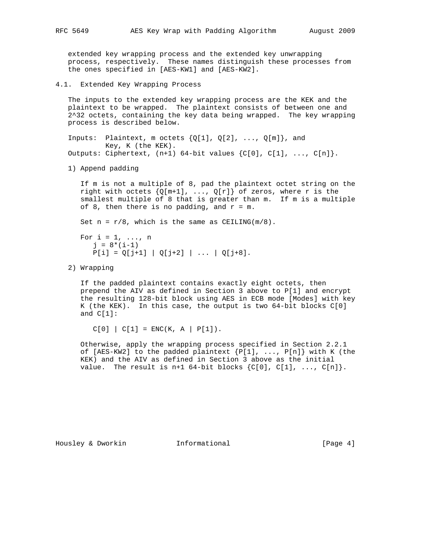extended key wrapping process and the extended key unwrapping process, respectively. These names distinguish these processes from the ones specified in [AES-KW1] and [AES-KW2].

4.1. Extended Key Wrapping Process

 The inputs to the extended key wrapping process are the KEK and the plaintext to be wrapped. The plaintext consists of between one and 2^32 octets, containing the key data being wrapped. The key wrapping process is described below.

Inputs: Plaintext, m octets  $\{Q[1], Q[2], \ldots, Q[m]\}$ , and Key, K (the KEK). Outputs: Ciphertext,  $(n+1)$  64-bit values  $\{C[0], C[1], \ldots, C[n]\}.$ 

1) Append padding

 If m is not a multiple of 8, pad the plaintext octet string on the right with octets  $\{Q[m+1], \ldots, Q[r]\}$  of zeros, where r is the smallest multiple of 8 that is greater than m. If m is a multiple of 8, then there is no padding, and  $r = m$ .

Set  $n = r/8$ , which is the same as CEILING( $m/8$ ).

For  $i = 1, \ldots, n$  $j = 8*(i-1)$  $P[i] = Q[j+1] | Q[j+2] | ... | Q[j+8].$ 

2) Wrapping

 If the padded plaintext contains exactly eight octets, then prepend the AIV as defined in Section 3 above to P[1] and encrypt the resulting 128-bit block using AES in ECB mode [Modes] with key K (the KEK). In this case, the output is two 64-bit blocks C[0] and C[1]:

 $C[0] | C[1] = ENC(K, A | P[1]).$ 

 Otherwise, apply the wrapping process specified in Section 2.2.1 of [AES-KW2] to the padded plaintext  ${P[1], ..., P[n]}$  with K (the KEK) and the AIV as defined in Section 3 above as the initial value. The result is n+1 64-bit blocks  $\{C[0], C[1], \ldots, C[n]\}.$ 

Housley & Dworkin **Informational** [Page 4]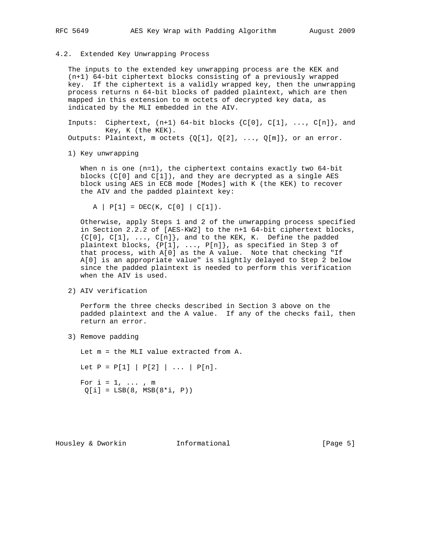4.2. Extended Key Unwrapping Process

 The inputs to the extended key unwrapping process are the KEK and (n+1) 64-bit ciphertext blocks consisting of a previously wrapped key. If the ciphertext is a validly wrapped key, then the unwrapping process returns n 64-bit blocks of padded plaintext, which are then mapped in this extension to m octets of decrypted key data, as indicated by the MLI embedded in the AIV.

Inputs: Ciphertext,  $(n+1)$  64-bit blocks  $\{C[0], C[1], \ldots, C[n]\}$ , and Key, K (the KEK). Outputs: Plaintext, m octets  $\{Q[1], Q[2], \ldots, Q[m]\}$ , or an error.

1) Key unwrapping

When  $n$  is one  $(n=1)$ , the ciphertext contains exactly two  $64$ -bit blocks (C[0] and C[1]), and they are decrypted as a single AES block using AES in ECB mode [Modes] with K (the KEK) to recover the AIV and the padded plaintext key:

 $A | P[1] = DEC(K, C[0] | C[1]).$ 

 Otherwise, apply Steps 1 and 2 of the unwrapping process specified in Section 2.2.2 of [AES-KW2] to the n+1 64-bit ciphertext blocks, {C[0], C[1], ..., C[n]}, and to the KEK, K. Define the padded plaintext blocks, {P[1], ..., P[n]}, as specified in Step 3 of that process, with A[0] as the A value. Note that checking "If A[0] is an appropriate value" is slightly delayed to Step 2 below since the padded plaintext is needed to perform this verification when the AIV is used.

2) AIV verification

 Perform the three checks described in Section 3 above on the padded plaintext and the A value. If any of the checks fail, then return an error.

3) Remove padding

 Let m = the MLI value extracted from A. Let  $P = P[1] | P[2] | ... | P[n].$ For  $i = 1, \ldots, m$  $Q[i] = LSB(8, MSB(8 * i, P))$ 

Housley & Dworkin **Informational** [Page 5]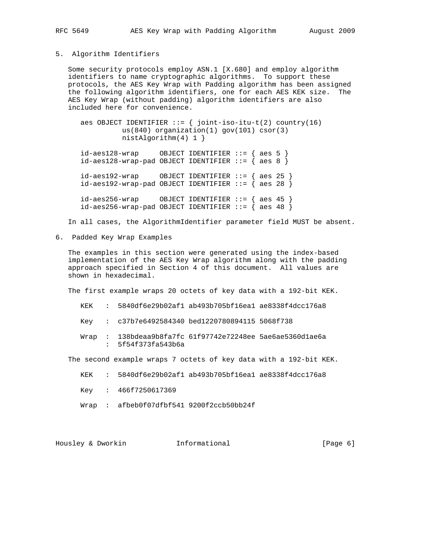#### 5. Algorithm Identifiers

 Some security protocols employ ASN.1 [X.680] and employ algorithm identifiers to name cryptographic algorithms. To support these protocols, the AES Key Wrap with Padding algorithm has been assigned the following algorithm identifiers, one for each AES KEK size. The AES Key Wrap (without padding) algorithm identifiers are also included here for convenience.

```
aes OBJECT IDENTIFIER ::= { joint-iso-itu-t(2) country(16)
           us(840) organization(1) gov(101) csor(3)
           nistAlgorithm(4) 1 }
```
 id-aes128-wrap OBJECT IDENTIFIER ::= { aes 5 } id-aes128-wrap-pad OBJECT IDENTIFIER ::= { aes 8 } id-aes192-wrap OBJECT IDENTIFIER ::= { aes 25 } id-aes192-wrap-pad OBJECT IDENTIFIER  $::=$  { aes 28 }  $id-aes256-wrap$  OBJECT IDENTIFIER ::= { aes 45 }

 $id-aes256-wrap-pad OBJECT IDENTIFIER ::= { aes 48 }$ 

In all cases, the AlgorithmIdentifier parameter field MUST be absent.

6. Padded Key Wrap Examples

 The examples in this section were generated using the index-based implementation of the AES Key Wrap algorithm along with the padding approach specified in Section 4 of this document. All values are shown in hexadecimal.

The first example wraps 20 octets of key data with a 192-bit KEK.

- KEK : 5840df6e29b02af1 ab493b705bf16ea1 ae8338f4dcc176a8
- Key : c37b7e6492584340 bed1220780894115 5068f738
- Wrap : 138bdeaa9b8fa7fc 61f97742e72248ee 5ae6ae5360d1ae6a : 5f54f373fa543b6a

The second example wraps 7 octets of key data with a 192-bit KEK.

- KEK : 5840df6e29b02af1 ab493b705bf16ea1 ae8338f4dcc176a8
- Key : 466f7250617369
- Wrap : afbeb0f07dfbf541 9200f2ccb50bb24f

Housley & Dworkin **Informational** [Page 6]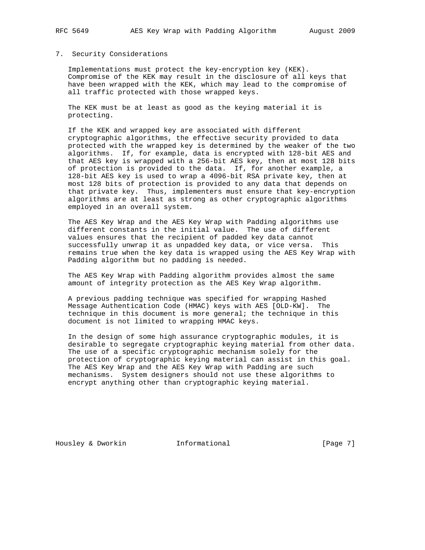## 7. Security Considerations

 Implementations must protect the key-encryption key (KEK). Compromise of the KEK may result in the disclosure of all keys that have been wrapped with the KEK, which may lead to the compromise of all traffic protected with those wrapped keys.

 The KEK must be at least as good as the keying material it is protecting.

 If the KEK and wrapped key are associated with different cryptographic algorithms, the effective security provided to data protected with the wrapped key is determined by the weaker of the two algorithms. If, for example, data is encrypted with 128-bit AES and that AES key is wrapped with a 256-bit AES key, then at most 128 bits of protection is provided to the data. If, for another example, a 128-bit AES key is used to wrap a 4096-bit RSA private key, then at most 128 bits of protection is provided to any data that depends on that private key. Thus, implementers must ensure that key-encryption algorithms are at least as strong as other cryptographic algorithms employed in an overall system.

 The AES Key Wrap and the AES Key Wrap with Padding algorithms use different constants in the initial value. The use of different values ensures that the recipient of padded key data cannot successfully unwrap it as unpadded key data, or vice versa. This remains true when the key data is wrapped using the AES Key Wrap with Padding algorithm but no padding is needed.

 The AES Key Wrap with Padding algorithm provides almost the same amount of integrity protection as the AES Key Wrap algorithm.

 A previous padding technique was specified for wrapping Hashed Message Authentication Code (HMAC) keys with AES [OLD-KW]. The technique in this document is more general; the technique in this document is not limited to wrapping HMAC keys.

 In the design of some high assurance cryptographic modules, it is desirable to segregate cryptographic keying material from other data. The use of a specific cryptographic mechanism solely for the protection of cryptographic keying material can assist in this goal. The AES Key Wrap and the AES Key Wrap with Padding are such mechanisms. System designers should not use these algorithms to encrypt anything other than cryptographic keying material.

Housley & Dworkin **Informational** [Page 7]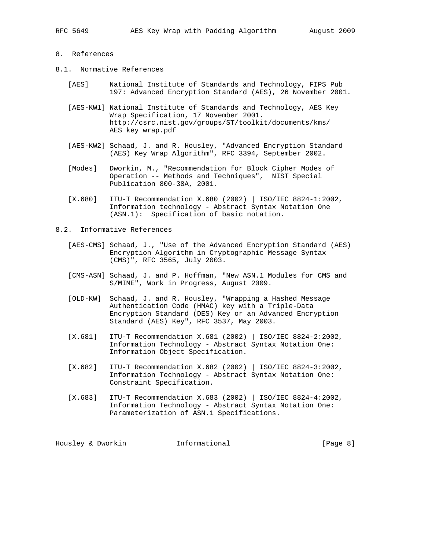## 8. References

- 8.1. Normative References
	- [AES] National Institute of Standards and Technology, FIPS Pub 197: Advanced Encryption Standard (AES), 26 November 2001.
	- [AES-KW1] National Institute of Standards and Technology, AES Key Wrap Specification, 17 November 2001. http://csrc.nist.gov/groups/ST/toolkit/documents/kms/ AES\_key\_wrap.pdf
	- [AES-KW2] Schaad, J. and R. Housley, "Advanced Encryption Standard (AES) Key Wrap Algorithm", RFC 3394, September 2002.
	- [Modes] Dworkin, M., "Recommendation for Block Cipher Modes of Operation -- Methods and Techniques", NIST Special Publication 800-38A, 2001.
	- [X.680] ITU-T Recommendation X.680 (2002) | ISO/IEC 8824-1:2002, Information technology - Abstract Syntax Notation One (ASN.1): Specification of basic notation.
- 8.2. Informative References
	- [AES-CMS] Schaad, J., "Use of the Advanced Encryption Standard (AES) Encryption Algorithm in Cryptographic Message Syntax (CMS)", RFC 3565, July 2003.
	- [CMS-ASN] Schaad, J. and P. Hoffman, "New ASN.1 Modules for CMS and S/MIME", Work in Progress, August 2009.
	- [OLD-KW] Schaad, J. and R. Housley, "Wrapping a Hashed Message Authentication Code (HMAC) key with a Triple-Data Encryption Standard (DES) Key or an Advanced Encryption Standard (AES) Key", RFC 3537, May 2003.
	- [X.681] ITU-T Recommendation X.681 (2002) | ISO/IEC 8824-2:2002, Information Technology - Abstract Syntax Notation One: Information Object Specification.
	- [X.682] ITU-T Recommendation X.682 (2002) | ISO/IEC 8824-3:2002, Information Technology - Abstract Syntax Notation One: Constraint Specification.
	- [X.683] ITU-T Recommendation X.683 (2002) | ISO/IEC 8824-4:2002, Information Technology - Abstract Syntax Notation One: Parameterization of ASN.1 Specifications.

Housley & Dworkin **Informational** [Page 8]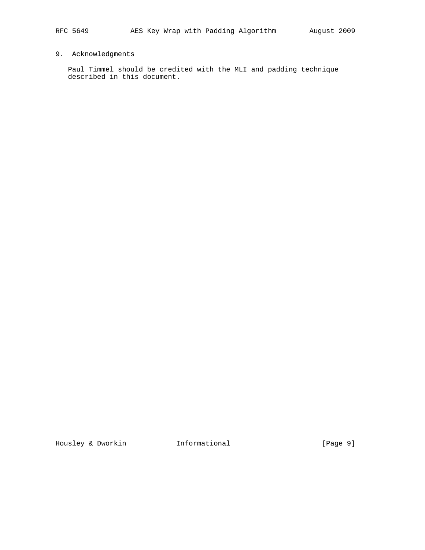# 9. Acknowledgments

 Paul Timmel should be credited with the MLI and padding technique described in this document.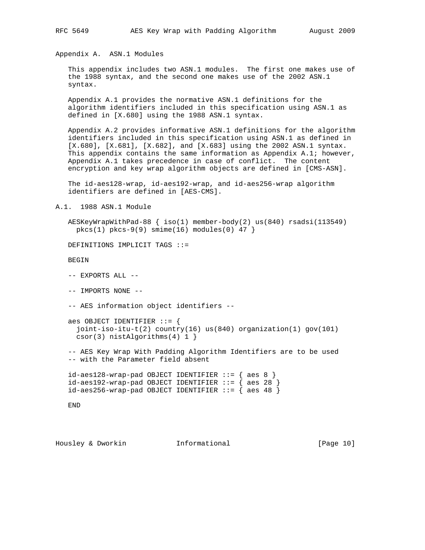Appendix A. ASN.1 Modules

 This appendix includes two ASN.1 modules. The first one makes use of the 1988 syntax, and the second one makes use of the 2002 ASN.1 syntax.

 Appendix A.1 provides the normative ASN.1 definitions for the algorithm identifiers included in this specification using ASN.1 as defined in [X.680] using the 1988 ASN.1 syntax.

 Appendix A.2 provides informative ASN.1 definitions for the algorithm identifiers included in this specification using ASN.1 as defined in [X.680], [X.681], [X.682], and [X.683] using the 2002 ASN.1 syntax. This appendix contains the same information as Appendix A.1; however, Appendix A.1 takes precedence in case of conflict. The content encryption and key wrap algorithm objects are defined in [CMS-ASN].

 The id-aes128-wrap, id-aes192-wrap, and id-aes256-wrap algorithm identifiers are defined in [AES-CMS].

A.1. 1988 ASN.1 Module

 AESKeyWrapWithPad-88 { iso(1) member-body(2) us(840) rsadsi(113549)  $pkcs(1)$   $pkcs-9(9)$   $smine(16)$   $modules(0)$  47 }

DEFINITIONS IMPLICIT TAGS ::=

BEGIN

-- EXPORTS ALL --

-- IMPORTS NONE --

-- AES information object identifiers --

```
 aes OBJECT IDENTIFIER ::= {
   joint-iso-itu-t(2) country(16) us(840) organization(1) gov(101)
  csor(3) nistAlgorithms(4) 1 }
```
 -- AES Key Wrap With Padding Algorithm Identifiers are to be used -- with the Parameter field absent

```
id-aes128-wrap-pad OBJECT IDENTIFIER ::= { aes 8 } id-aes192-wrap-pad OBJECT IDENTIFIER ::= { aes 28 }
id-aes256-wrap-pad OBJECT IDENTIFIER ::= \overline{} aes 48 \overline{}
```
END

Housley & Dworkin **Informational** [Page 10]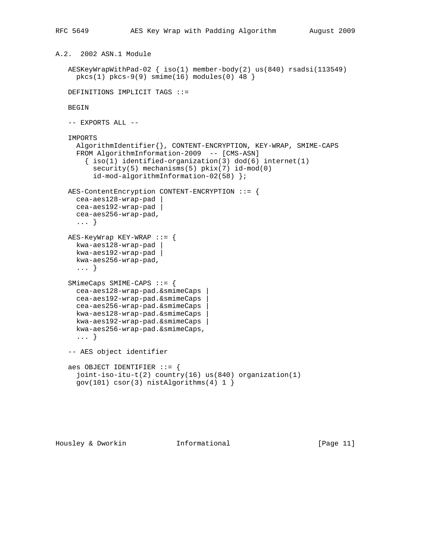```
A.2. 2002 ASN.1 Module
    AESKeyWrapWithPad-02 { iso(1) member-body(2) us(840) rsadsi(113549)
     pkcs(1) pkcs-9(9) simine(16) modules(0) 48 DEFINITIONS IMPLICIT TAGS ::=
    BEGIN
    -- EXPORTS ALL --
    IMPORTS
      AlgorithmIdentifier{}, CONTENT-ENCRYPTION, KEY-WRAP, SMIME-CAPS
      FROM AlgorithmInformation-2009 -- [CMS-ASN]
       \{ iso(1) <i>identified-organization(3) <math> dod(6) <i>internet(1)</i> security(5) mechanisms(5) pkix(7) id-mod(0)
          id-mod-algorithmInformation-02(58) };
    AES-ContentEncryption CONTENT-ENCRYPTION ::= {
     cea-aes128-wrap-pad |
      cea-aes192-wrap-pad |
      cea-aes256-wrap-pad,
      ... }
    AES-KeyWrap KEY-WRAP ::= {
      kwa-aes128-wrap-pad |
      kwa-aes192-wrap-pad |
      kwa-aes256-wrap-pad,
      ... }
    SMimeCaps SMIME-CAPS ::= {
     cea-aes128-wrap-pad.&smimeCaps |
      cea-aes192-wrap-pad.&smimeCaps |
      cea-aes256-wrap-pad.&smimeCaps |
      kwa-aes128-wrap-pad.&smimeCaps |
      kwa-aes192-wrap-pad.&smimeCaps |
      kwa-aes256-wrap-pad.&smimeCaps,
      ... }
    -- AES object identifier
    aes OBJECT IDENTIFIER ::= {
      joint-iso-itu-t(2) country(16) us(840) organization(1)
     gov(101) \csc(3) nistAlgorithms(4) 1 }
```
Housley & Dworkin **Informational** [Page 11]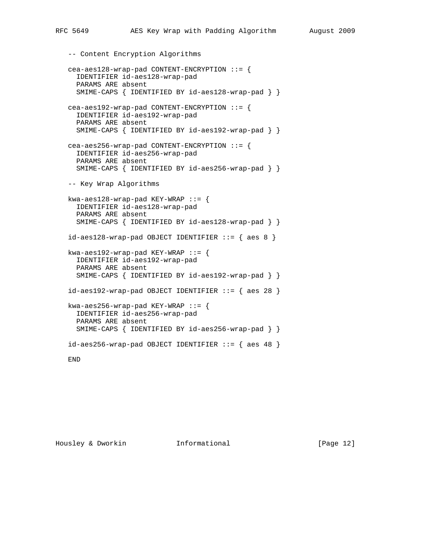```
 -- Content Encryption Algorithms
 cea-aes128-wrap-pad CONTENT-ENCRYPTION ::= {
   IDENTIFIER id-aes128-wrap-pad
   PARAMS ARE absent
  SMIME-CAPS { IDENTIFIED BY id-aes128-wrap-pad } }
 cea-aes192-wrap-pad CONTENT-ENCRYPTION ::= {
   IDENTIFIER id-aes192-wrap-pad
   PARAMS ARE absent
  SMIME-CAPS { IDENTIFIED BY id-aes192-wrap-pad } }
 cea-aes256-wrap-pad CONTENT-ENCRYPTION ::= {
   IDENTIFIER id-aes256-wrap-pad
   PARAMS ARE absent
   SMIME-CAPS { IDENTIFIED BY id-aes256-wrap-pad } }
 -- Key Wrap Algorithms
kwa-aes128-wrap-pad KEY-WRAP ::= {
   IDENTIFIER id-aes128-wrap-pad
   PARAMS ARE absent
   SMIME-CAPS { IDENTIFIED BY id-aes128-wrap-pad } }
id-aes128-wrap-pad OBJECT IDENTIFIER ::= { aes 8 }kwa-aes192-wrap-pad KEY-WRAP ::= {
   IDENTIFIER id-aes192-wrap-pad
   PARAMS ARE absent
  SMIME-CAPS { IDENTIFIED BY id-aes192-wrap-pad } }
id-aes192-wrap-pad OBJECT IDENTIFIER ::= { aes 28 }kwa-aes256-wrap-pad KEY-WRAP ::= {
   IDENTIFIER id-aes256-wrap-pad
   PARAMS ARE absent
   SMIME-CAPS { IDENTIFIED BY id-aes256-wrap-pad } }
id-aes256-wrap-pad OBJECT IDENTIFFIER ::= { aes 48 } END
```
Housley & Dworkin **Informational** [Page 12]